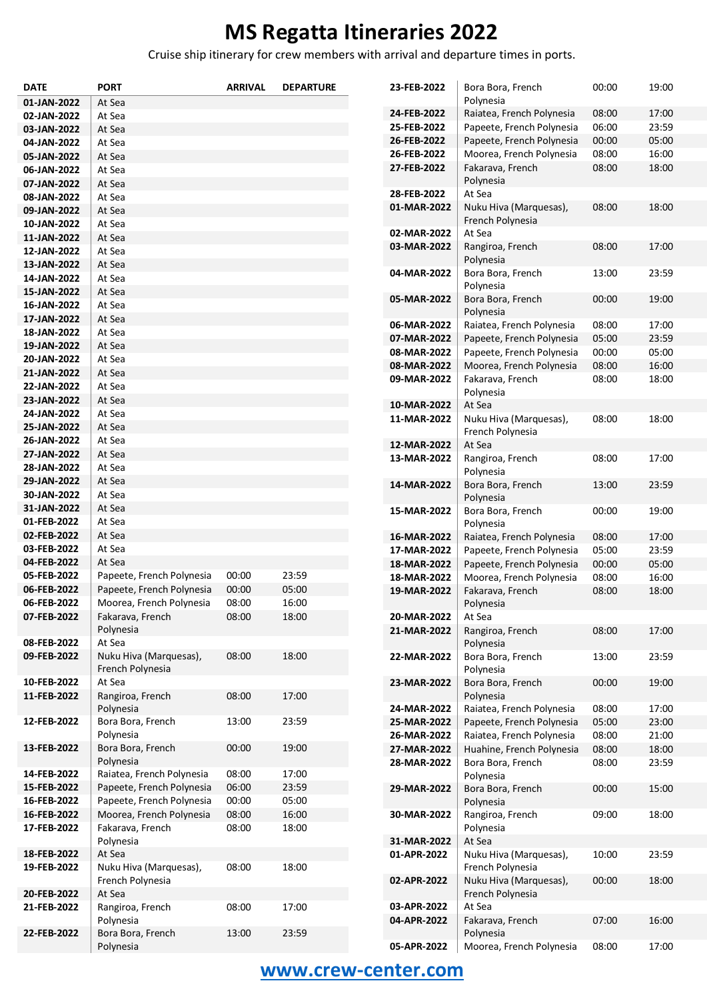Cruise ship itinerary for crew members with arrival and departure times in ports.

| <b>DATE</b>                | <b>PORT</b>                                  | <b>ARRIVAL</b> | <b>DEPARTURE</b> | 23-FEB-2022                | Bora Bora, French                          | 00:00 | 19:00 |
|----------------------------|----------------------------------------------|----------------|------------------|----------------------------|--------------------------------------------|-------|-------|
| 01-JAN-2022                | At Sea                                       |                |                  |                            | Polynesia                                  |       |       |
| 02-JAN-2022                | At Sea                                       |                |                  | 24-FEB-2022                | Raiatea, French Polynesia                  | 08:00 | 17:00 |
| 03-JAN-2022                | At Sea                                       |                |                  | 25-FEB-2022                | Papeete, French Polynesia                  | 06:00 | 23:59 |
| 04-JAN-2022                | At Sea                                       |                |                  | 26-FEB-2022                | Papeete, French Polynesia                  | 00:00 | 05:00 |
| 05-JAN-2022                | At Sea                                       |                |                  | 26-FEB-2022                | Moorea, French Polynesia                   | 08:00 | 16:00 |
| 06-JAN-2022                | At Sea                                       |                |                  | 27-FEB-2022                | Fakarava, French                           | 08:00 | 18:00 |
| 07-JAN-2022                | At Sea                                       |                |                  |                            | Polynesia                                  |       |       |
| 08-JAN-2022                | At Sea                                       |                |                  | 28-FEB-2022                | At Sea                                     |       |       |
| 09-JAN-2022                | At Sea                                       |                |                  | 01-MAR-2022                | Nuku Hiva (Marquesas),                     | 08:00 | 18:00 |
| 10-JAN-2022                | At Sea                                       |                |                  |                            | French Polynesia                           |       |       |
| 11-JAN-2022                | At Sea                                       |                |                  | 02-MAR-2022                | At Sea                                     |       |       |
| 12-JAN-2022                | At Sea                                       |                |                  | 03-MAR-2022                | Rangiroa, French                           | 08:00 | 17:00 |
| 13-JAN-2022                | At Sea                                       |                |                  |                            | Polynesia                                  |       |       |
| 14-JAN-2022                | At Sea                                       |                |                  | 04-MAR-2022                | Bora Bora, French                          | 13:00 | 23:59 |
| 15-JAN-2022                | At Sea                                       |                |                  |                            | Polynesia                                  |       |       |
| 16-JAN-2022                | At Sea                                       |                |                  | 05-MAR-2022                | Bora Bora, French                          | 00:00 | 19:00 |
| 17-JAN-2022                | At Sea                                       |                |                  |                            | Polynesia                                  |       |       |
| 18-JAN-2022                | At Sea                                       |                |                  | 06-MAR-2022                | Raiatea, French Polynesia                  | 08:00 | 17:00 |
| 19-JAN-2022                | At Sea                                       |                |                  | 07-MAR-2022                | Papeete, French Polynesia                  | 05:00 | 23:59 |
| 20-JAN-2022                | At Sea                                       |                |                  | 08-MAR-2022                | Papeete, French Polynesia                  | 00:00 | 05:00 |
| 21-JAN-2022                | At Sea                                       |                |                  | 08-MAR-2022                | Moorea, French Polynesia                   | 08:00 | 16:00 |
| 22-JAN-2022                | At Sea                                       |                |                  | 09-MAR-2022                | Fakarava, French                           | 08:00 | 18:00 |
| 23-JAN-2022                | At Sea                                       |                |                  | 10-MAR-2022                | Polynesia<br>At Sea                        |       |       |
| 24-JAN-2022                | At Sea                                       |                |                  | 11-MAR-2022                |                                            | 08:00 | 18:00 |
| 25-JAN-2022                | At Sea                                       |                |                  |                            | Nuku Hiva (Marquesas),<br>French Polynesia |       |       |
| 26-JAN-2022                | At Sea                                       |                |                  | 12-MAR-2022                | At Sea                                     |       |       |
| 27-JAN-2022                | At Sea                                       |                |                  | 13-MAR-2022                | Rangiroa, French                           | 08:00 | 17:00 |
| 28-JAN-2022                | At Sea                                       |                |                  |                            | Polynesia                                  |       |       |
| 29-JAN-2022                | At Sea                                       |                |                  | 14-MAR-2022                | Bora Bora, French                          | 13:00 | 23:59 |
| 30-JAN-2022                | At Sea                                       |                |                  |                            | Polynesia                                  |       |       |
| 31-JAN-2022                | At Sea                                       |                |                  | 15-MAR-2022                | Bora Bora, French                          | 00:00 | 19:00 |
| 01-FEB-2022                | At Sea                                       |                |                  |                            | Polynesia                                  |       |       |
| 02-FEB-2022                | At Sea                                       |                |                  | 16-MAR-2022                | Raiatea, French Polynesia                  | 08:00 | 17:00 |
| 03-FEB-2022                | At Sea                                       |                |                  | 17-MAR-2022                | Papeete, French Polynesia                  | 05:00 | 23:59 |
| 04-FEB-2022                | At Sea                                       |                |                  | 18-MAR-2022                | Papeete, French Polynesia                  | 00:00 | 05:00 |
| 05-FEB-2022                | Papeete, French Polynesia                    | 00:00          | 23:59            | 18-MAR-2022                | Moorea, French Polynesia                   | 08:00 | 16:00 |
| 06-FEB-2022                | Papeete, French Polynesia                    | 00:00          | 05:00            | 19-MAR-2022                | Fakarava, French                           | 08:00 | 18:00 |
| 06-FEB-2022                | Moorea, French Polynesia                     | 08:00          | 16:00            |                            | Polynesia                                  |       |       |
| 07-FEB-2022                | Fakarava, French                             | 08:00          | 18:00            | 20-MAR-2022                | At Sea                                     |       |       |
|                            | Polynesia                                    |                |                  | 21-MAR-2022                | Rangiroa, French                           | 08:00 | 17:00 |
| 08-FEB-2022                | At Sea                                       |                |                  |                            | Polynesia                                  |       |       |
| 09-FEB-2022                | Nuku Hiva (Marquesas),                       | 08:00          | 18:00            | 22-MAR-2022                | Bora Bora, French                          | 13:00 | 23:59 |
|                            | French Polynesia                             |                |                  |                            | Polynesia                                  |       |       |
| 10-FEB-2022                | At Sea                                       |                |                  | 23-MAR-2022                | Bora Bora, French                          | 00:00 | 19:00 |
| 11-FEB-2022                | Rangiroa, French                             | 08:00          | 17:00            |                            | Polynesia                                  |       |       |
|                            | Polynesia                                    |                |                  | 24-MAR-2022                | Raiatea, French Polynesia                  | 08:00 | 17:00 |
| 12-FEB-2022                | Bora Bora, French                            | 13:00          | 23:59            | 25-MAR-2022                | Papeete, French Polynesia                  | 05:00 | 23:00 |
|                            | Polynesia                                    |                |                  | 26-MAR-2022                | Raiatea, French Polynesia                  | 08:00 | 21:00 |
| 13-FEB-2022                | Bora Bora, French                            | 00:00          | 19:00            | 27-MAR-2022                | Huahine, French Polynesia                  | 08:00 | 18:00 |
|                            | Polynesia                                    |                |                  | 28-MAR-2022                | Bora Bora, French                          | 08:00 | 23:59 |
| 14-FEB-2022                | Raiatea, French Polynesia                    | 08:00          | 17:00            |                            | Polynesia                                  |       |       |
| 15-FEB-2022                | Papeete, French Polynesia                    | 06:00          | 23:59            | 29-MAR-2022                | Bora Bora, French                          | 00:00 | 15:00 |
| 16-FEB-2022<br>16-FEB-2022 | Papeete, French Polynesia                    | 00:00          | 05:00            |                            | Polynesia                                  |       |       |
| 17-FEB-2022                | Moorea, French Polynesia<br>Fakarava, French | 08:00<br>08:00 | 16:00<br>18:00   | 30-MAR-2022                | Rangiroa, French<br>Polynesia              | 09:00 | 18:00 |
|                            |                                              |                |                  |                            |                                            |       |       |
| 18-FEB-2022                | Polynesia<br>At Sea                          |                |                  | 31-MAR-2022<br>01-APR-2022 | At Sea<br>Nuku Hiva (Marquesas),           | 10:00 | 23:59 |
| 19-FEB-2022                | Nuku Hiva (Marquesas),                       | 08:00          | 18:00            |                            | French Polynesia                           |       |       |
|                            | French Polynesia                             |                |                  | 02-APR-2022                | Nuku Hiva (Marquesas),                     | 00:00 | 18:00 |
| 20-FEB-2022                | At Sea                                       |                |                  |                            | French Polynesia                           |       |       |
| 21-FEB-2022                | Rangiroa, French                             | 08:00          | 17:00            | 03-APR-2022                | At Sea                                     |       |       |
|                            | Polynesia                                    |                |                  | 04-APR-2022                | Fakarava, French                           | 07:00 | 16:00 |
| 22-FEB-2022                | Bora Bora, French                            | 13:00          | 23:59            |                            | Polynesia                                  |       |       |
|                            | Polynesia                                    |                |                  | 05-APR-2022                | Moorea, French Polynesia                   | 08:00 | 17:00 |
|                            |                                              |                |                  |                            |                                            |       |       |

### **[www.crew-center.com](file:///C:/Users/renata/Documents/Itineraries%202016/CSV%20Rasporedi/Regent/www.crew-center.com)**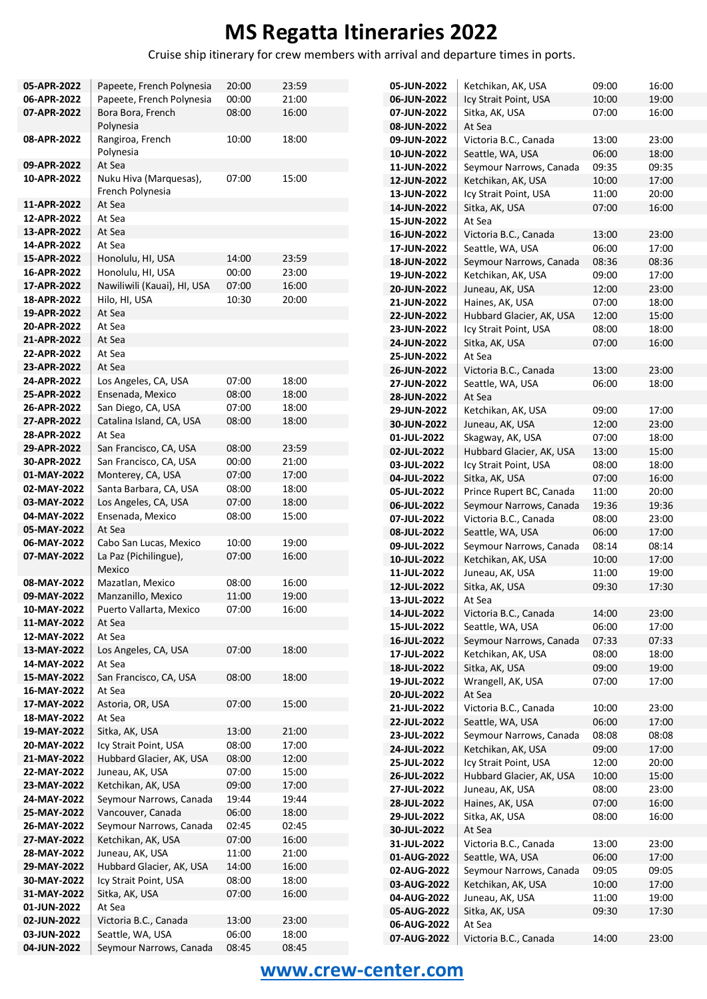Cruise ship itinerary for crew members with arrival and departure times in ports.

| 05-APR-2022 | Papeete, French Polynesia   | 20:00 | 23:59 | 05-JUN-  |
|-------------|-----------------------------|-------|-------|----------|
| 06-APR-2022 | Papeete, French Polynesia   | 00:00 | 21:00 | 06-JUN-  |
| 07-APR-2022 | Bora Bora, French           | 08:00 | 16:00 | 07-JUN-  |
|             | Polynesia                   |       |       | 08-JUN-  |
| 08-APR-2022 | Rangiroa, French            | 10:00 | 18:00 | 09-JUN-  |
|             | Polynesia                   |       |       | 10-JUN-  |
| 09-APR-2022 | At Sea                      |       |       | 11-JUN-  |
| 10-APR-2022 | Nuku Hiva (Marquesas),      | 07:00 | 15:00 | 12-JUN-  |
|             | French Polynesia            |       |       |          |
| 11-APR-2022 | At Sea                      |       |       | 13-JUN-  |
| 12-APR-2022 | At Sea                      |       |       | 14-JUN-  |
|             |                             |       |       | 15-JUN-  |
| 13-APR-2022 | At Sea                      |       |       | 16-JUN-  |
| 14-APR-2022 | At Sea                      |       |       | 17-JUN-  |
| 15-APR-2022 | Honolulu, HI, USA           | 14:00 | 23:59 | 18-JUN-  |
| 16-APR-2022 | Honolulu, HI, USA           | 00:00 | 23:00 | 19-JUN-  |
| 17-APR-2022 | Nawiliwili (Kauai), HI, USA | 07:00 | 16:00 | 20-JUN-  |
| 18-APR-2022 | Hilo, HI, USA               | 10:30 | 20:00 | 21-JUN-  |
| 19-APR-2022 | At Sea                      |       |       | 22-JUN-  |
| 20-APR-2022 | At Sea                      |       |       | 23-JUN-  |
| 21-APR-2022 | At Sea                      |       |       | 24-JUN-  |
| 22-APR-2022 | At Sea                      |       |       | 25-JUN-  |
| 23-APR-2022 | At Sea                      |       |       |          |
| 24-APR-2022 | Los Angeles, CA, USA        | 07:00 | 18:00 | 26-JUN-  |
| 25-APR-2022 |                             |       | 18:00 | 27-JUN-  |
|             | Ensenada, Mexico            | 08:00 |       | 28-JUN-  |
| 26-APR-2022 | San Diego, CA, USA          | 07:00 | 18:00 | 29-JUN-  |
| 27-APR-2022 | Catalina Island, CA, USA    | 08:00 | 18:00 | 30-JUN-  |
| 28-APR-2022 | At Sea                      |       |       | 01-JUL-2 |
| 29-APR-2022 | San Francisco, CA, USA      | 08:00 | 23:59 | 02-JUL-2 |
| 30-APR-2022 | San Francisco, CA, USA      | 00:00 | 21:00 | 03-JUL-2 |
| 01-MAY-2022 | Monterey, CA, USA           | 07:00 | 17:00 | 04-JUL-2 |
| 02-MAY-2022 | Santa Barbara, CA, USA      | 08:00 | 18:00 | 05-JUL-2 |
| 03-MAY-2022 | Los Angeles, CA, USA        | 07:00 | 18:00 | 06-JUL-2 |
| 04-MAY-2022 | Ensenada, Mexico            | 08:00 | 15:00 | 07-JUL-2 |
| 05-MAY-2022 | At Sea                      |       |       |          |
| 06-MAY-2022 | Cabo San Lucas, Mexico      | 10:00 | 19:00 | 08-JUL-2 |
| 07-MAY-2022 | La Paz (Pichilingue),       | 07:00 | 16:00 | 09-JUL-2 |
|             |                             |       |       | 10-JUL-2 |
| 08-MAY-2022 | Mexico                      |       | 16:00 | 11-JUL-2 |
|             | Mazatlan, Mexico            | 08:00 |       | 12-JUL-2 |
| 09-MAY-2022 | Manzanillo, Mexico          | 11:00 | 19:00 | 13-JUL-2 |
| 10-MAY-2022 | Puerto Vallarta, Mexico     | 07:00 | 16:00 | 14-JUL-2 |
| 11-MAY-2022 | At Sea                      |       |       | 15-JUL-2 |
| 12-MAY-2022 | At Sea                      |       |       | 16-JUL-2 |
| 13-MAY-2022 | Los Angeles, CA, USA        | 07:00 | 18:00 | 17-JUL-2 |
| 14-MAY-2022 | At Sea                      |       |       | 18-JUL-2 |
| 15-MAY-2022 | San Francisco, CA, USA      | 08:00 | 18:00 | 19-JUL-2 |
| 16-MAY-2022 | At Sea                      |       |       | 20-JUL-2 |
| 17-MAY-2022 | Astoria, OR, USA            | 07:00 | 15:00 | 21-JUL-2 |
| 18-MAY-2022 | At Sea                      |       |       | 22-JUL-2 |
| 19-MAY-2022 | Sitka, AK, USA              | 13:00 | 21:00 |          |
| 20-MAY-2022 | Icy Strait Point, USA       | 08:00 | 17:00 | 23-JUL-2 |
| 21-MAY-2022 | Hubbard Glacier, AK, USA    | 08:00 | 12:00 | 24-JUL-2 |
| 22-MAY-2022 | Juneau, AK, USA             | 07:00 | 15:00 | 25-JUL-2 |
|             |                             |       |       | 26-JUL-2 |
| 23-MAY-2022 | Ketchikan, AK, USA          | 09:00 | 17:00 | 27-JUL-2 |
| 24-MAY-2022 | Seymour Narrows, Canada     | 19:44 | 19:44 | 28-JUL-2 |
| 25-MAY-2022 | Vancouver, Canada           | 06:00 | 18:00 | 29-JUL-2 |
| 26-MAY-2022 | Seymour Narrows, Canada     | 02:45 | 02:45 | 30-JUL-2 |
| 27-MAY-2022 | Ketchikan, AK, USA          | 07:00 | 16:00 | 31-JUL-2 |
| 28-MAY-2022 | Juneau, AK, USA             | 11:00 | 21:00 | 01-AUG   |
| 29-MAY-2022 | Hubbard Glacier, AK, USA    | 14:00 | 16:00 | 02-AUG-  |
| 30-MAY-2022 | Icy Strait Point, USA       | 08:00 | 18:00 | 03-AUG-  |
| 31-MAY-2022 | Sitka, AK, USA              | 07:00 | 16:00 | 04-AUG-  |
| 01-JUN-2022 | At Sea                      |       |       | 05-AUG-  |
| 02-JUN-2022 | Victoria B.C., Canada       | 13:00 | 23:00 |          |
| 03-JUN-2022 | Seattle, WA, USA            | 06:00 | 18:00 | 06-AUG-  |
| 04-JUN-2022 | Seymour Narrows, Canada     | 08:45 | 08:45 | 07-AUG-  |
|             |                             |       |       |          |

| 05-JUN-2022 | Ketchikan, AK, USA       | 09:00 | 16:00 |
|-------------|--------------------------|-------|-------|
| 06-JUN-2022 | Icy Strait Point, USA    | 10:00 | 19:00 |
| 07-JUN-2022 | Sitka, AK, USA           | 07:00 | 16:00 |
| 08-JUN-2022 | At Sea                   |       |       |
| 09-JUN-2022 | Victoria B.C., Canada    | 13:00 | 23:00 |
| 10-JUN-2022 | Seattle, WA, USA         | 06:00 | 18:00 |
| 11-JUN-2022 | Seymour Narrows, Canada  | 09:35 | 09:35 |
| 12-JUN-2022 | Ketchikan, AK, USA       | 10:00 | 17:00 |
| 13-JUN-2022 | Icy Strait Point, USA    | 11:00 | 20:00 |
| 14-JUN-2022 | Sitka, AK, USA           | 07:00 | 16:00 |
| 15-JUN-2022 | At Sea                   |       |       |
| 16-JUN-2022 | Victoria B.C., Canada    | 13:00 | 23:00 |
| 17-JUN-2022 | Seattle, WA, USA         | 06:00 | 17:00 |
| 18-JUN-2022 | Seymour Narrows, Canada  | 08:36 | 08:36 |
| 19-JUN-2022 | Ketchikan, AK, USA       | 09:00 | 17:00 |
| 20-JUN-2022 | Juneau, AK, USA          | 12:00 | 23:00 |
| 21-JUN-2022 | Haines, AK, USA          | 07:00 | 18:00 |
| 22-JUN-2022 | Hubbard Glacier, AK, USA | 12:00 | 15:00 |
| 23-JUN-2022 | Icy Strait Point, USA    | 08:00 | 18:00 |
| 24-JUN-2022 |                          |       | 16:00 |
|             | Sitka, AK, USA<br>At Sea | 07:00 |       |
| 25-JUN-2022 |                          |       |       |
| 26-JUN-2022 | Victoria B.C., Canada    | 13:00 | 23:00 |
| 27-JUN-2022 | Seattle, WA, USA         | 06:00 | 18:00 |
| 28-JUN-2022 | At Sea                   |       |       |
| 29-JUN-2022 | Ketchikan, AK, USA       | 09:00 | 17:00 |
| 30-JUN-2022 | Juneau, AK, USA          | 12:00 | 23:00 |
| 01-JUL-2022 | Skagway, AK, USA         | 07:00 | 18:00 |
| 02-JUL-2022 | Hubbard Glacier, AK, USA | 13:00 | 15:00 |
| 03-JUL-2022 | Icy Strait Point, USA    | 08:00 | 18:00 |
| 04-JUL-2022 | Sitka, AK, USA           | 07:00 | 16:00 |
| 05-JUL-2022 | Prince Rupert BC, Canada | 11:00 | 20:00 |
| 06-JUL-2022 | Seymour Narrows, Canada  | 19:36 | 19:36 |
| 07-JUL-2022 | Victoria B.C., Canada    | 08:00 | 23:00 |
| 08-JUL-2022 | Seattle, WA, USA         | 06:00 | 17:00 |
| 09-JUL-2022 | Seymour Narrows, Canada  | 08:14 | 08:14 |
| 10-JUL-2022 | Ketchikan, AK, USA       | 10:00 | 17:00 |
| 11-JUL-2022 | Juneau, AK, USA          | 11:00 | 19:00 |
| 12-JUL-2022 | Sitka, AK, USA           | 09:30 | 17:30 |
| 13-JUL-2022 | At Sea                   |       |       |
| 14-JUL-2022 | Victoria B.C., Canada    | 14:00 | 23:00 |
| 15-JUL-2022 | Seattle, WA, USA         | 06:00 | 17:00 |
| 16-JUL-2022 | Seymour Narrows, Canada  | 07:33 | 07:33 |
| 17-JUL-2022 | Ketchikan, AK, USA       | 08:00 | 18:00 |
| 18-JUL-2022 | Sitka, AK, USA           | 09:00 | 19:00 |
| 19-JUL-2022 | Wrangell, AK, USA        | 07:00 | 17:00 |
| 20-JUL-2022 | At Sea                   |       |       |
| 21-JUL-2022 | Victoria B.C., Canada    | 10:00 | 23:00 |
| 22-JUL-2022 | Seattle, WA, USA         | 06:00 | 17:00 |
| 23-JUL-2022 | Seymour Narrows, Canada  | 08:08 | 08:08 |
| 24-JUL-2022 | Ketchikan, AK, USA       | 09:00 | 17:00 |
| 25-JUL-2022 | Icy Strait Point, USA    | 12:00 | 20:00 |
| 26-JUL-2022 | Hubbard Glacier, AK, USA | 10:00 | 15:00 |
| 27-JUL-2022 | Juneau, AK, USA          | 08:00 | 23:00 |
| 28-JUL-2022 | Haines, AK, USA          | 07:00 | 16:00 |
| 29-JUL-2022 | Sitka, AK, USA           | 08:00 | 16:00 |
| 30-JUL-2022 | At Sea                   |       |       |
| 31-JUL-2022 | Victoria B.C., Canada    | 13:00 | 23:00 |
| 01-AUG-2022 | Seattle, WA, USA         | 06:00 | 17:00 |
| 02-AUG-2022 | Seymour Narrows, Canada  | 09:05 | 09:05 |
| 03-AUG-2022 | Ketchikan, AK, USA       | 10:00 | 17:00 |
| 04-AUG-2022 | Juneau, AK, USA          | 11:00 | 19:00 |
| 05-AUG-2022 | Sitka, AK, USA           | 09:30 | 17:30 |
| 06-AUG-2022 | At Sea                   |       |       |
| 07-AUG-2022 | Victoria B.C., Canada    | 14:00 | 23:00 |

### **[www.crew-center.com](file:///C:/Users/renata/Documents/Itineraries%202016/CSV%20Rasporedi/Regent/www.crew-center.com)**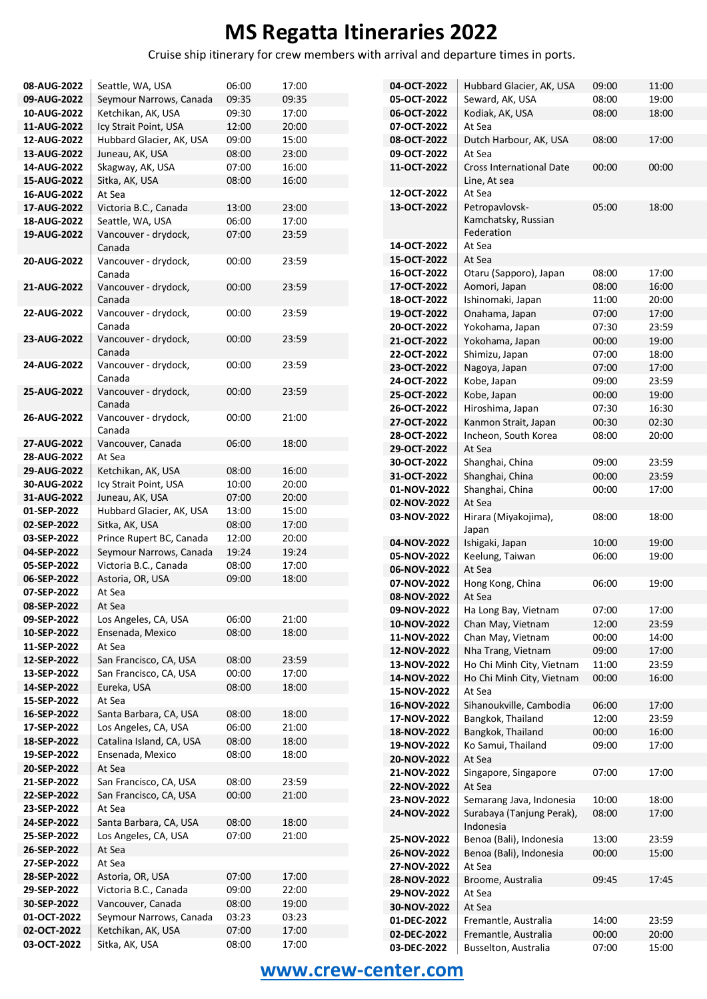Cruise ship itinerary for crew members with arrival and departure times in ports.

| 08-AUG-2022 | Seattle, WA, USA         | 06:00 | 17:00 | 04-OCT-2022        | Hubbard Glacier, AK, USA        | 09:00 | 11:00 |
|-------------|--------------------------|-------|-------|--------------------|---------------------------------|-------|-------|
| 09-AUG-2022 | Seymour Narrows, Canada  | 09:35 | 09:35 | 05-OCT-2022        | Seward, AK, USA                 | 08:00 | 19:00 |
| 10-AUG-2022 | Ketchikan, AK, USA       | 09:30 | 17:00 | 06-OCT-2022        | Kodiak, AK, USA                 | 08:00 | 18:00 |
| 11-AUG-2022 | Icy Strait Point, USA    | 12:00 | 20:00 | 07-OCT-2022        | At Sea                          |       |       |
| 12-AUG-2022 | Hubbard Glacier, AK, USA | 09:00 | 15:00 | 08-OCT-2022        | Dutch Harbour, AK, USA          | 08:00 | 17:00 |
| 13-AUG-2022 | Juneau, AK, USA          | 08:00 | 23:00 | 09-OCT-2022        | At Sea                          |       |       |
| 14-AUG-2022 | Skagway, AK, USA         | 07:00 | 16:00 | 11-OCT-2022        | <b>Cross International Date</b> | 00:00 | 00:00 |
| 15-AUG-2022 | Sitka, AK, USA           | 08:00 | 16:00 |                    | Line, At sea                    |       |       |
| 16-AUG-2022 | At Sea                   |       |       | 12-OCT-2022        | At Sea                          |       |       |
| 17-AUG-2022 | Victoria B.C., Canada    | 13:00 | 23:00 | 13-OCT-2022        | Petropavlovsk-                  | 05:00 | 18:00 |
| 18-AUG-2022 | Seattle, WA, USA         | 06:00 | 17:00 |                    | Kamchatsky, Russian             |       |       |
|             | Vancouver - drydock,     |       |       |                    | Federation                      |       |       |
| 19-AUG-2022 |                          | 07:00 | 23:59 | 14-OCT-2022        | At Sea                          |       |       |
|             | Canada                   |       |       | 15-OCT-2022        | At Sea                          |       |       |
| 20-AUG-2022 | Vancouver - drydock,     | 00:00 | 23:59 | 16-OCT-2022        | Otaru (Sapporo), Japan          | 08:00 | 17:00 |
|             | Canada                   |       |       |                    |                                 |       |       |
| 21-AUG-2022 | Vancouver - drydock,     | 00:00 | 23:59 | 17-OCT-2022        | Aomori, Japan                   | 08:00 | 16:00 |
|             | Canada                   |       |       | 18-OCT-2022        | Ishinomaki, Japan               | 11:00 | 20:00 |
| 22-AUG-2022 | Vancouver - drydock,     | 00:00 | 23:59 | 19-OCT-2022        | Onahama, Japan                  | 07:00 | 17:00 |
|             | Canada                   |       |       | 20-OCT-2022        | Yokohama, Japan                 | 07:30 | 23:59 |
| 23-AUG-2022 | Vancouver - drydock,     | 00:00 | 23:59 | 21-OCT-2022        | Yokohama, Japan                 | 00:00 | 19:00 |
|             | Canada                   |       |       | 22-OCT-2022        | Shimizu, Japan                  | 07:00 | 18:00 |
| 24-AUG-2022 | Vancouver - drydock,     | 00:00 | 23:59 | 23-OCT-2022        | Nagoya, Japan                   | 07:00 | 17:00 |
|             | Canada                   |       |       | 24-OCT-2022        | Kobe, Japan                     | 09:00 | 23:59 |
| 25-AUG-2022 | Vancouver - drydock,     | 00:00 | 23:59 | 25-OCT-2022        | Kobe, Japan                     | 00:00 | 19:00 |
|             | Canada                   |       |       | 26-OCT-2022        | Hiroshima, Japan                | 07:30 | 16:30 |
| 26-AUG-2022 | Vancouver - drydock,     | 00:00 | 21:00 | 27-OCT-2022        | Kanmon Strait, Japan            | 00:30 | 02:30 |
|             | Canada                   |       |       | 28-OCT-2022        | Incheon, South Korea            | 08:00 | 20:00 |
| 27-AUG-2022 | Vancouver, Canada        | 06:00 | 18:00 | 29-OCT-2022        | At Sea                          |       |       |
| 28-AUG-2022 | At Sea                   |       |       | 30-OCT-2022        | Shanghai, China                 | 09:00 | 23:59 |
| 29-AUG-2022 | Ketchikan, AK, USA       | 08:00 | 16:00 | 31-OCT-2022        |                                 | 00:00 | 23:59 |
| 30-AUG-2022 | Icy Strait Point, USA    | 10:00 | 20:00 |                    | Shanghai, China                 |       |       |
| 31-AUG-2022 | Juneau, AK, USA          | 07:00 | 20:00 | 01-NOV-2022        | Shanghai, China                 | 00:00 | 17:00 |
| 01-SEP-2022 | Hubbard Glacier, AK, USA | 13:00 | 15:00 | 02-NOV-2022        | At Sea                          |       |       |
| 02-SEP-2022 | Sitka, AK, USA           | 08:00 | 17:00 | 03-NOV-2022        | Hirara (Miyakojima),            | 08:00 | 18:00 |
| 03-SEP-2022 | Prince Rupert BC, Canada | 12:00 | 20:00 |                    | Japan                           |       |       |
| 04-SEP-2022 | Seymour Narrows, Canada  | 19:24 | 19:24 | 04-NOV-2022        | Ishigaki, Japan                 | 10:00 | 19:00 |
| 05-SEP-2022 | Victoria B.C., Canada    | 08:00 | 17:00 | 05-NOV-2022        | Keelung, Taiwan                 | 06:00 | 19:00 |
|             |                          |       |       | 06-NOV-2022        | At Sea                          |       |       |
| 06-SEP-2022 | Astoria, OR, USA         | 09:00 | 18:00 | 07-NOV-2022        | Hong Kong, China                | 06:00 | 19:00 |
| 07-SEP-2022 | At Sea                   |       |       | 08-NOV-2022        | At Sea                          |       |       |
| 08-SEP-2022 | At Sea                   |       |       | <b>09-NOV-2022</b> | Ha Long Bay, Vietnam            | 07:00 | 17:00 |
| 09-SEP-2022 | Los Angeles, CA, USA     | 06:00 | 21:00 | 10-NOV-2022        | Chan May, Vietnam               | 12:00 | 23:59 |
| 10-SEP-2022 | Ensenada, Mexico         | 08:00 | 18:00 | 11-NOV-2022        | Chan May, Vietnam               | 00:00 | 14:00 |
| 11-SEP-2022 | At Sea                   |       |       | 12-NOV-2022        | Nha Trang, Vietnam              | 09:00 | 17:00 |
| 12-SEP-2022 | San Francisco, CA, USA   | 08:00 | 23:59 | 13-NOV-2022        | Ho Chi Minh City, Vietnam       | 11:00 | 23:59 |
| 13-SEP-2022 | San Francisco, CA, USA   | 00:00 | 17:00 | 14-NOV-2022        | Ho Chi Minh City, Vietnam       | 00:00 | 16:00 |
| 14-SEP-2022 | Eureka, USA              | 08:00 | 18:00 | 15-NOV-2022        | At Sea                          |       |       |
| 15-SEP-2022 | At Sea                   |       |       | 16-NOV-2022        | Sihanoukville, Cambodia         | 06:00 | 17:00 |
| 16-SEP-2022 | Santa Barbara, CA, USA   | 08:00 | 18:00 | 17-NOV-2022        | Bangkok, Thailand               | 12:00 | 23:59 |
| 17-SEP-2022 | Los Angeles, CA, USA     | 06:00 | 21:00 | 18-NOV-2022        | Bangkok, Thailand               | 00:00 | 16:00 |
| 18-SEP-2022 | Catalina Island, CA, USA | 08:00 | 18:00 | 19-NOV-2022        | Ko Samui, Thailand              | 09:00 | 17:00 |
| 19-SEP-2022 | Ensenada, Mexico         | 08:00 | 18:00 |                    |                                 |       |       |
| 20-SEP-2022 | At Sea                   |       |       | 20-NOV-2022        | At Sea                          |       |       |
| 21-SEP-2022 | San Francisco, CA, USA   | 08:00 | 23:59 | 21-NOV-2022        | Singapore, Singapore            | 07:00 | 17:00 |
| 22-SEP-2022 | San Francisco, CA, USA   | 00:00 | 21:00 | 22-NOV-2022        | At Sea                          |       |       |
| 23-SEP-2022 | At Sea                   |       |       | 23-NOV-2022        | Semarang Java, Indonesia        | 10:00 | 18:00 |
|             |                          |       |       | 24-NOV-2022        | Surabaya (Tanjung Perak),       | 08:00 | 17:00 |
| 24-SEP-2022 | Santa Barbara, CA, USA   | 08:00 | 18:00 |                    | Indonesia                       |       |       |
| 25-SEP-2022 | Los Angeles, CA, USA     | 07:00 | 21:00 | 25-NOV-2022        | Benoa (Bali), Indonesia         | 13:00 | 23:59 |
| 26-SEP-2022 | At Sea                   |       |       | 26-NOV-2022        | Benoa (Bali), Indonesia         | 00:00 | 15:00 |
| 27-SEP-2022 | At Sea                   |       |       | 27-NOV-2022        | At Sea                          |       |       |
| 28-SEP-2022 | Astoria, OR, USA         | 07:00 | 17:00 | 28-NOV-2022        | Broome, Australia               | 09:45 | 17:45 |
| 29-SEP-2022 | Victoria B.C., Canada    | 09:00 | 22:00 | 29-NOV-2022        | At Sea                          |       |       |
| 30-SEP-2022 | Vancouver, Canada        | 08:00 | 19:00 | 30-NOV-2022        | At Sea                          |       |       |
| 01-OCT-2022 | Seymour Narrows, Canada  | 03:23 | 03:23 | 01-DEC-2022        | Fremantle, Australia            | 14:00 | 23:59 |
| 02-OCT-2022 | Ketchikan, AK, USA       | 07:00 | 17:00 | 02-DEC-2022        | Fremantle, Australia            | 00:00 | 20:00 |
| 03-OCT-2022 | Sitka, AK, USA           | 08:00 | 17:00 | 03-DEC-2022        | Busselton, Australia            | 07:00 | 15:00 |
|             |                          |       |       |                    |                                 |       |       |

#### **[www.crew-center.com](file:///C:/Users/renata/Documents/Itineraries%202016/CSV%20Rasporedi/Regent/www.crew-center.com)**